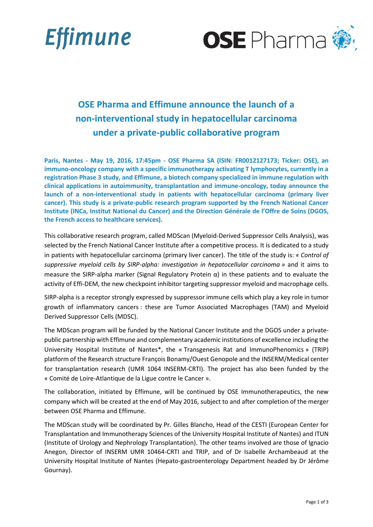



# **OSE Pharma and Effimune announce the launch of a non-interventional study in hepatocellular carcinoma under a private-public collaborative program**

**Paris, Nantes - May 19, 2016, 17:45pm - OSE Pharma SA (ISIN: FR0012127173; Ticker: OSE), an immuno-oncology company with a specific immunotherapy activating T lymphocytes, currently in a registration Phase 3 study, and Effimune, a biotech company specialized in immune regulation with clinical applications in autoimmunity, transplantation and immune-oncology, today announce the launch of a non-interventional study in patients with hepatocellular carcinoma (primary liver cancer). This study is a private-public research program supported by the French National Cancer Institute (INCa, Institut National du Cancer) and the Direction Générale de l'Offre de Soins (DGOS, the French access to healthcare services).**

This collaborative research program, called MDScan (Myeloid-Derived Suppressor Cells Analysis), was selected by the French National Cancer Institute after a competitive process. It is dedicated to a study in patients with hepatocellular carcinoma (primary liver cancer). The title of the study is: *« Control of suppressive myeloid cells by SIRP-alpha: investigation in hepatocellular carcinoma »* and it aims to measure the SIRP-alpha marker (Signal Regulatory Protein  $α$ ) in these patients and to evaluate the activity of Effi-DEM, the new checkpoint inhibitor targeting suppressor myeloid and macrophage cells.

SIRP-alpha is a receptor strongly expressed by suppressor immune cells which play a key role in tumor growth of inflammatory cancers : these are Tumor Associated Macrophages (TAM) and Myeloid Derived Suppressor Cells (MDSC).

The MDScan program will be funded by the National Cancer Institute and the DGOS under a privatepublic partnership with Effimune and complementary academic institutions of excellence including the University Hospital Institute of Nantes\*, the « Transgenesis Rat and ImmunoPhenomics » (TRIP) platform of the Research structure François Bonamy/Ouest Genopole and the INSERM/Medical center for transplantation research (UMR 1064 INSERM-CRTI). The project has also been funded by the « Comité de Loire-Atlantique de la Ligue contre le Cancer ».

The collaboration, initiated by Effimune, will be continued by OSE Immunotherapeutics, the new company which will be created at the end of May 2016, subject to and after completion of the merger between OSE Pharma and Effimune.

The MDScan study will be coordinated by Pr. Gilles Blancho, Head of the CESTI (European Center for Transplantation and Immunotherapy Sciences of the University Hospital Institute of Nantes) and ITUN (Institute of Urology and Nephrology Transplantation). The other teams involved are those of Ignacio Anegon, Director of INSERM UMR 10464-CRTI and TRIP, and of Dr Isabelle Archambeaud at the University Hospital Institute of Nantes (Hepato-gastroenterology Department headed by Dr Jérôme Gournay).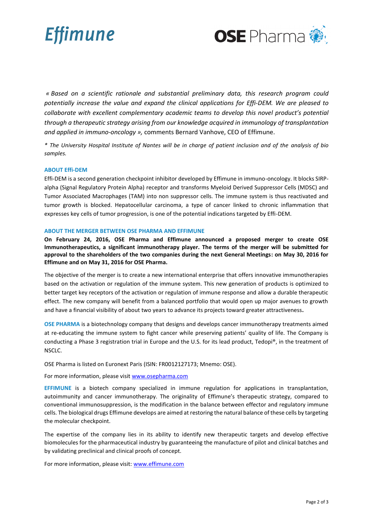



*« Based on a scientific rationale and substantial preliminary data, this research program could potentially increase the value and expand the clinical applications for Effi-DEM. We are pleased to collaborate with excellent complementary academic teams to develop this novel product's potential through a therapeutic strategy arising from our knowledge acquired in immunology of transplantation and applied in immuno-oncology »,* comments Bernard Vanhove, CEO of Effimune.

*\* The University Hospital Institute of Nantes will be in charge of patient inclusion and of the analysis of bio samples.*

### **ABOUT Effi-DEM**

Effi-DEM is a second generation checkpoint inhibitor developed by Effimune in immuno-oncology. It blocks SIRPalpha (Signal Regulatory Protein Alpha) receptor and transforms Myeloid Derived Suppressor Cells (MDSC) and Tumor Associated Macrophages (TAM) into non suppressor cells. The immune system is thus reactivated and tumor growth is blocked. Hepatocellular carcinoma, a type of cancer linked to chronic inflammation that expresses key cells of tumor progression, is one of the potential indications targeted by Effi-DEM.

## **ABOUT THE MERGER BETWEEN OSE PHARMA AND EFFIMUNE**

**On February 24, 2016, OSE Pharma and Effimune announced a proposed merger to create OSE Immunotherapeutics, a significant immunotherapy player. The terms of the merger will be submitted for approval to the shareholders of the two companies during the next General Meetings: on May 30, 2016 for Effimune and on May 31, 2016 for OSE Pharma.**

The objective of the merger is to create a new international enterprise that offers innovative immunotherapies based on the activation or regulation of the immune system. This new generation of products is optimized to better target key receptors of the activation or regulation of immune response and allow a durable therapeutic effect. The new company will benefit from a balanced portfolio that would open up major avenues to growth and have a financial visibility of about two years to advance its projects toward greater attractiveness**.**

**OSE PHARMA** is a biotechnology company that designs and develops cancer immunotherapy treatments aimed at re-educating the immune system to fight cancer while preserving patients' quality of life. The Company is conducting a Phase 3 registration trial in Europe and the U.S. for its lead product, Tedopi®, in the treatment of NSCLC.

OSE Pharma is listed on Euronext Paris (ISIN: FR0012127173; Mnemo: OSE).

For more information, please visi[t www.osepharma.com](http://www.osepharma.com/)

**EFFIMUNE** is a biotech company specialized in immune regulation for applications in transplantation, autoimmunity and cancer immunotherapy. The originality of Effimune's therapeutic strategy, compared to conventional immunosuppression, is the modification in the balance between effector and regulatory immune cells. The biological drugs Effimune develops are aimed at restoring the natural balance of these cells by targeting the molecular checkpoint.

The expertise of the company lies in its ability to identify new therapeutic targets and develop effective biomolecules for the pharmaceutical industry by guaranteeing the manufacture of pilot and clinical batches and by validating preclinical and clinical proofs of concept.

For more information, please visit: [www.effimune.com](http://www.effimune.com/)